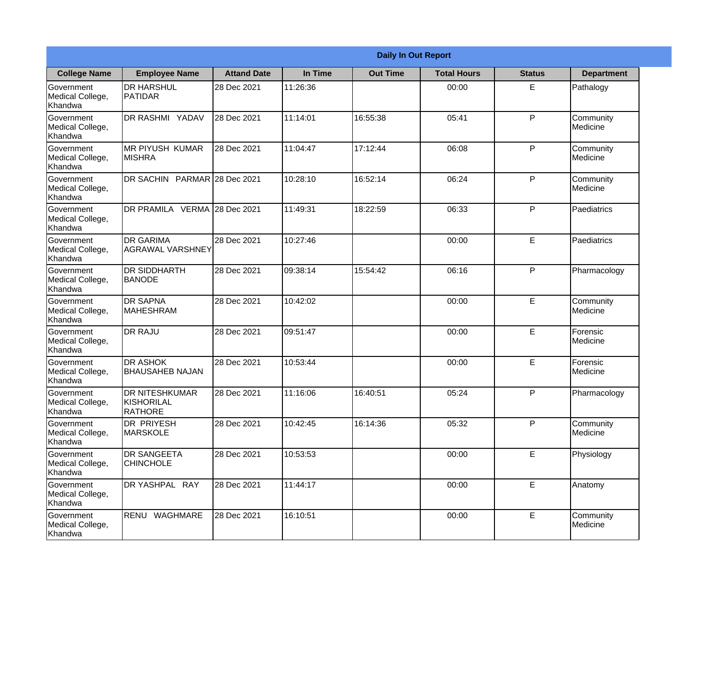|                                                  | <b>Daily In Out Report</b>                            |                    |          |                 |                    |               |                       |
|--------------------------------------------------|-------------------------------------------------------|--------------------|----------|-----------------|--------------------|---------------|-----------------------|
| <b>College Name</b>                              | <b>Employee Name</b>                                  | <b>Attand Date</b> | In Time  | <b>Out Time</b> | <b>Total Hours</b> | <b>Status</b> | <b>Department</b>     |
| Government<br>Medical College,<br>Khandwa        | <b>DR HARSHUL</b><br>PATIDAR                          | 28 Dec 2021        | 11:26:36 |                 | 00:00              | E             | Pathalogy             |
| Government<br>Medical College,<br>Khandwa        | DR RASHMI YADAV                                       | 28 Dec 2021        | 11:14:01 | 16:55:38        | 05:41              | P             | Community<br>Medicine |
| <b>Government</b><br>Medical College,<br>Khandwa | <b>MR PIYUSH KUMAR</b><br><b>MISHRA</b>               | 28 Dec 2021        | 11:04:47 | 17:12:44        | 06:08              | P             | Community<br>Medicine |
| Government<br>Medical College,<br>Khandwa        | DR SACHIN PARMAR 28 Dec 2021                          |                    | 10:28:10 | 16:52:14        | 06:24              | P             | Community<br>Medicine |
| Government<br>Medical College,<br>Khandwa        | DR PRAMILA VERMA 28 Dec 2021                          |                    | 11:49:31 | 18:22:59        | 06:33              | P             | Paediatrics           |
| Government<br>Medical College,<br>Khandwa        | <b>DR GARIMA</b><br><b>AGRAWAL VARSHNEY</b>           | 28 Dec 2021        | 10:27:46 |                 | 00:00              | E             | Paediatrics           |
| Government<br>Medical College,<br>Khandwa        | <b>DR SIDDHARTH</b><br><b>BANODE</b>                  | 28 Dec 2021        | 09:38:14 | 15:54:42        | 06:16              | P             | Pharmacology          |
| Government<br>Medical College,<br>Khandwa        | <b>DR SAPNA</b><br><b>MAHESHRAM</b>                   | 28 Dec 2021        | 10:42:02 |                 | 00:00              | E             | Community<br>Medicine |
| <b>Government</b><br>Medical College,<br>Khandwa | <b>DR RAJU</b>                                        | 28 Dec 2021        | 09:51:47 |                 | 00:00              | E             | Forensic<br>Medicine  |
| Government<br>Medical College,<br>Khandwa        | DR ASHOK<br><b>BHAUSAHEB NAJAN</b>                    | 28 Dec 2021        | 10:53:44 |                 | 00:00              | E             | Forensic<br>Medicine  |
| Government<br>Medical College,<br>Khandwa        | DR NITESHKUMAR<br><b>KISHORILAL</b><br><b>RATHORE</b> | 28 Dec 2021        | 11:16:06 | 16:40:51        | 05:24              | $\mathsf{P}$  | Pharmacology          |
| Government<br>Medical College,<br>Khandwa        | DR PRIYESH<br><b>MARSKOLE</b>                         | 28 Dec 2021        | 10:42:45 | 16:14:36        | 05:32              | P             | Community<br>Medicine |
| Government<br>Medical College,<br>Khandwa        | DR SANGEETA<br><b>CHINCHOLE</b>                       | 28 Dec 2021        | 10:53:53 |                 | 00:00              | E             | Physiology            |
| Government<br>Medical College,<br>Khandwa        | DR YASHPAL RAY                                        | 28 Dec 2021        | 11:44:17 |                 | 00:00              | E             | Anatomy               |
| Government<br>Medical College,<br>Khandwa        | RENU WAGHMARE                                         | 28 Dec 2021        | 16:10:51 |                 | 00:00              | E             | Community<br>Medicine |